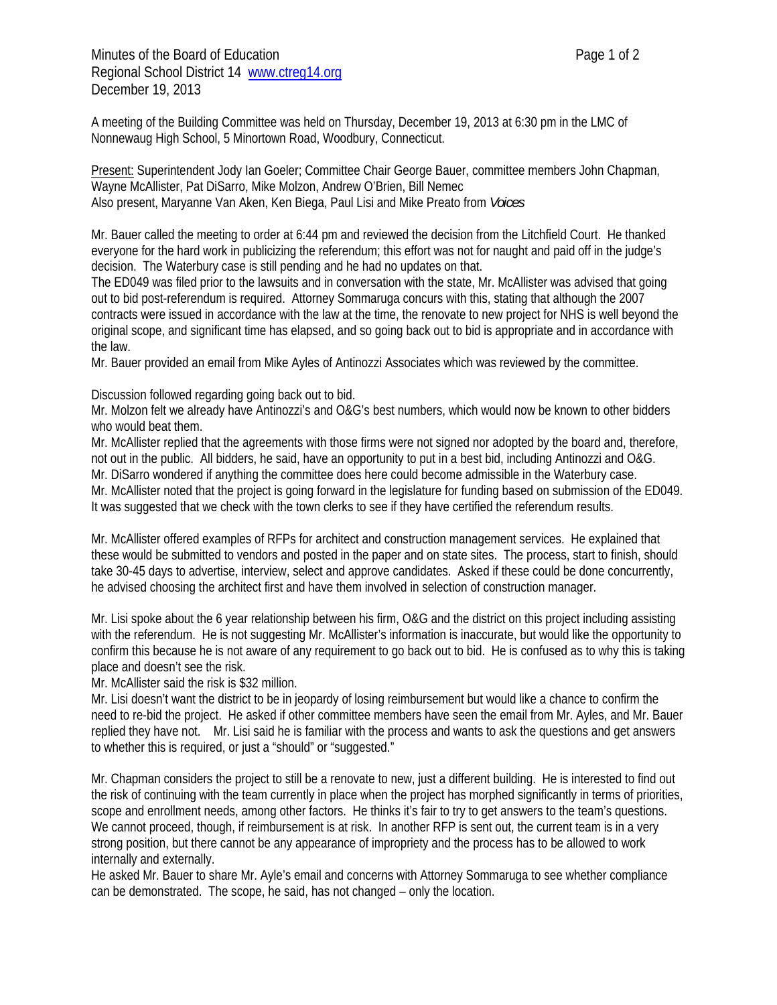Minutes of the Board of Education **Page 1** of 2 Regional School District 14 www.ctreg14.org December 19, 2013

A meeting of the Building Committee was held on Thursday, December 19, 2013 at 6:30 pm in the LMC of Nonnewaug High School, 5 Minortown Road, Woodbury, Connecticut.

Present: Superintendent Jody Ian Goeler; Committee Chair George Bauer, committee members John Chapman, Wayne McAllister, Pat DiSarro, Mike Molzon, Andrew O'Brien, Bill Nemec Also present, Maryanne Van Aken, Ken Biega, Paul Lisi and Mike Preato from *Voices*

Mr. Bauer called the meeting to order at 6:44 pm and reviewed the decision from the Litchfield Court. He thanked everyone for the hard work in publicizing the referendum; this effort was not for naught and paid off in the judge's decision. The Waterbury case is still pending and he had no updates on that.

The ED049 was filed prior to the lawsuits and in conversation with the state, Mr. McAllister was advised that going out to bid post-referendum is required. Attorney Sommaruga concurs with this, stating that although the 2007 contracts were issued in accordance with the law at the time, the renovate to new project for NHS is well beyond the original scope, and significant time has elapsed, and so going back out to bid is appropriate and in accordance with the law.

Mr. Bauer provided an email from Mike Ayles of Antinozzi Associates which was reviewed by the committee.

Discussion followed regarding going back out to bid.

Mr. Molzon felt we already have Antinozzi's and O&G's best numbers, which would now be known to other bidders who would beat them.

Mr. McAllister replied that the agreements with those firms were not signed nor adopted by the board and, therefore, not out in the public. All bidders, he said, have an opportunity to put in a best bid, including Antinozzi and O&G.

Mr. DiSarro wondered if anything the committee does here could become admissible in the Waterbury case. Mr. McAllister noted that the project is going forward in the legislature for funding based on submission of the ED049.

It was suggested that we check with the town clerks to see if they have certified the referendum results.

Mr. McAllister offered examples of RFPs for architect and construction management services. He explained that these would be submitted to vendors and posted in the paper and on state sites. The process, start to finish, should take 30-45 days to advertise, interview, select and approve candidates. Asked if these could be done concurrently, he advised choosing the architect first and have them involved in selection of construction manager.

Mr. Lisi spoke about the 6 year relationship between his firm, O&G and the district on this project including assisting with the referendum. He is not suggesting Mr. McAllister's information is inaccurate, but would like the opportunity to confirm this because he is not aware of any requirement to go back out to bid. He is confused as to why this is taking place and doesn't see the risk.

Mr. McAllister said the risk is \$32 million.

Mr. Lisi doesn't want the district to be in jeopardy of losing reimbursement but would like a chance to confirm the need to re-bid the project. He asked if other committee members have seen the email from Mr. Ayles, and Mr. Bauer replied they have not. Mr. Lisi said he is familiar with the process and wants to ask the questions and get answers to whether this is required, or just a "should" or "suggested."

Mr. Chapman considers the project to still be a renovate to new, just a different building. He is interested to find out the risk of continuing with the team currently in place when the project has morphed significantly in terms of priorities, scope and enrollment needs, among other factors. He thinks it's fair to try to get answers to the team's questions. We cannot proceed, though, if reimbursement is at risk. In another RFP is sent out, the current team is in a very strong position, but there cannot be any appearance of impropriety and the process has to be allowed to work internally and externally.

He asked Mr. Bauer to share Mr. Ayle's email and concerns with Attorney Sommaruga to see whether compliance can be demonstrated. The scope, he said, has not changed – only the location.